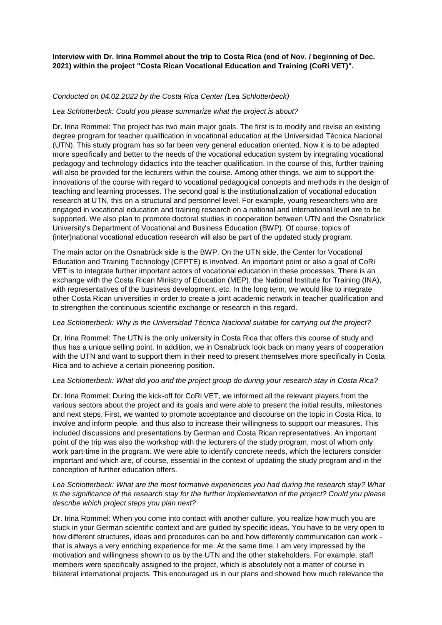**Interview with Dr. Irina Rommel about the trip to Costa Rica (end of Nov. / beginning of Dec. 2021) within the project "Costa Rican Vocational Education and Training (CoRi VET)".**

# *Conducted on 04.02.2022 by the Costa Rica Center (Lea Schlotterbeck)*

### *Lea Schlotterbeck: Could you please summarize what the project is about?*

Dr. Irina Rommel: The project has two main major goals. The first is to modify and revise an existing degree program for teacher qualification in vocational education at the Universidad Técnica Nacional (UTN). This study program has so far been very general education oriented. Now it is to be adapted more specifically and better to the needs of the vocational education system by integrating vocational pedagogy and technology didactics into the teacher qualification. In the course of this, further training will also be provided for the lecturers within the course. Among other things, we aim to support the innovations of the course with regard to vocational pedagogical concepts and methods in the design of teaching and learning processes. The second goal is the institutionalization of vocational education research at UTN, this on a structural and personnel level. For example, young researchers who are engaged in vocational education and training research on a national and international level are to be supported. We also plan to promote doctoral studies in cooperation between UTN and the Osnabrück University's Department of Vocational and Business Education (BWP). Of course, topics of (inter)national vocational education research will also be part of the updated study program.

The main actor on the Osnabrück side is the BWP. On the UTN side, the Center for Vocational Education and Training Technology (CFPTE) is involved. An important point or also a goal of CoRi VET is to integrate further important actors of vocational education in these processes. There is an exchange with the Costa Rican Ministry of Education (MEP), the National Institute for Training (INA), with representatives of the business development, etc. In the long term, we would like to integrate other Costa Rican universities in order to create a joint academic network in teacher qualification and to strengthen the continuous scientific exchange or research in this regard.

#### *Lea Schlotterbeck: Why is the Universidad Técnica Nacional suitable for carrying out the project?*

Dr. Irina Rommel: The UTN is the only university in Costa Rica that offers this course of study and thus has a unique selling point. In addition, we in Osnabrück look back on many years of cooperation with the UTN and want to support them in their need to present themselves more specifically in Costa Rica and to achieve a certain pioneering position.

# *Lea Schlotterbeck: What did you and the project group do during your research stay in Costa Rica?*

Dr. Irina Rommel: During the kick-off for CoRi VET, we informed all the relevant players from the various sectors about the project and its goals and were able to present the initial results, milestones and next steps. First, we wanted to promote acceptance and discourse on the topic in Costa Rica, to involve and inform people, and thus also to increase their willingness to support our measures. This included discussions and presentations by German and Costa Rican representatives. An important point of the trip was also the workshop with the lecturers of the study program, most of whom only work part-time in the program. We were able to identify concrete needs, which the lecturers consider important and which are, of course, essential in the context of updating the study program and in the conception of further education offers.

# *Lea Schlotterbeck: What are the most formative experiences you had during the research stay? What is the significance of the research stay for the further implementation of the project? Could you please describe which project steps you plan next?*

Dr. Irina Rommel: When you come into contact with another culture, you realize how much you are stuck in your German scientific context and are guided by specific ideas. You have to be very open to how different structures, ideas and procedures can be and how differently communication can work that is always a very enriching experience for me. At the same time, I am very impressed by the motivation and willingness shown to us by the UTN and the other stakeholders. For example, staff members were specifically assigned to the project, which is absolutely not a matter of course in bilateral international projects. This encouraged us in our plans and showed how much relevance the